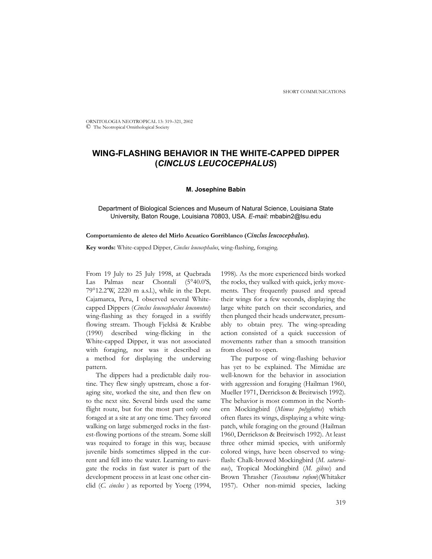ORNITOLOGIA NEOTROPICAL 13: 319–321, 2002 © The Neotropical Ornithological Society

# **WING-FLASHING BEHAVIOR IN THE WHITE-CAPPED DIPPER (***CINCLUS LEUCOCEPHALUS***)**

### **M. Josephine Babin**

Department of Biological Sciences and Museum of Natural Science, Louisiana State University, Baton Rouge, Louisiana 70803, USA. *E-mail:* mbabin2@lsu.edu

#### **Comportamiento de aleteo del Mirlo Acuatico Gorriblanco (***Cinclus leucocephalus***).**

**Key words:** White-capped Dipper, *Cinclus leucocephalus*, wing-flashing, foraging.

From 19 July to 25 July 1998, at Quebrada Las Palmas near Chontalí (5°40.0'S, 79°12.2'W, 2220 m a.s.l.), while in the Dept. Cajamarca, Peru, I observed several Whitecapped Dippers (*Cinclus leucocephalus leuconotus*) wing-flashing as they foraged in a swiftly flowing stream. Though Fjeldså & Krabbe (1990) described wing-flicking in the White-capped Dipper, it was not associated with foraging, nor was it described as a method for displaying the underwing pattern.

The dippers had a predictable daily routine. They flew singly upstream, chose a foraging site, worked the site, and then flew on to the next site. Several birds used the same flight route, but for the most part only one foraged at a site at any one time. They favored walking on large submerged rocks in the fastest-flowing portions of the stream. Some skill was required to forage in this way, because juvenile birds sometimes slipped in the current and fell into the water. Learning to navigate the rocks in fast water is part of the development process in at least one other cinclid (*C. cinclus* ) as reported by Yoerg (1994,

1998)*.* As the more experienced birds worked the rocks, they walked with quick, jerky movements. They frequently paused and spread their wings for a few seconds, displaying the large white patch on their secondaries, and then plunged their heads underwater, presumably to obtain prey. The wing-spreading action consisted of a quick succession of movements rather than a smooth transition from closed to open.

The purpose of wing-flashing behavior has yet to be explained. The Mimidae are well-known for the behavior in association with aggression and foraging (Hailman 1960, Mueller 1971, Derrickson & Breitwisch 1992)*.* The behavior is most common in the Northern Mockingbird (*Mimus polyglottos*) which often flares its wings, displaying a white wingpatch, while foraging on the ground (Hailman 1960, Derrickson & Breitwisch 1992). At least three other mimid species, with uniformly colored wings, have been observed to wingflash: Chalk-browed Mockingbird (*M. saturninus*), Tropical Mockingbird (*M. gilvus*) and Brown Thrasher (*Toxostoma rufum*)(Whitaker 1957). Other non-mimid species, lacking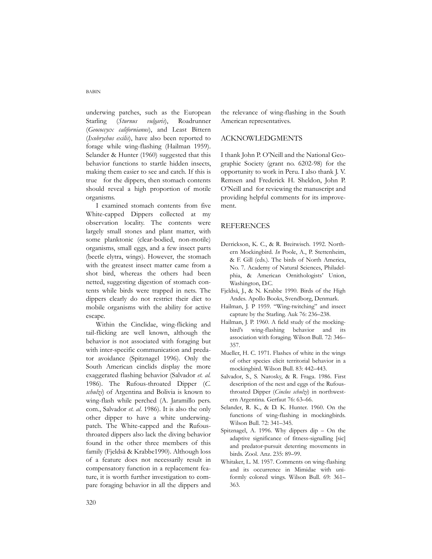BABIN

underwing patches, such as the European Starling (*Sturnus vulgaris*), Roadrunner (*Geococcycx californianus*), and Least Bittern (*Ixobrychus exilis*), have also been reported to forage while wing-flashing (Hailman 1959). Selander & Hunter (1960) suggested that this behavior functions to startle hidden insects, making them easier to see and catch. If this is true for the dippers, then stomach contents should reveal a high proportion of motile organisms.

I examined stomach contents from five White-capped Dippers collected at my observation locality. The contents were largely small stones and plant matter, with some planktonic (clear-bodied, non-motile) organisms, small eggs, and a few insect parts (beetle elytra, wings). However, the stomach with the greatest insect matter came from a shot bird, whereas the others had been netted, suggesting digestion of stomach contents while birds were trapped in nets. The dippers clearly do not restrict their diet to mobile organisms with the ability for active escape.

Within the Cinclidae, wing-flicking and tail-flicking are well known, although the behavior is not associated with foraging but with inter-specific communication and predator avoidance (Spitznagel 1996). Only the South American cinclids display the more exaggerated flashing behavior (Salvador *et. al.* 1986). The Rufous-throated Dipper (*C. schulzi*) of Argentina and Bolivia is known to wing-flash while perched (A. Jaramillo pers. com., Salvador *et. al*. 1986). It is also the only other dipper to have a white underwingpatch. The White-capped and the Rufousthroated dippers also lack the diving behavior found in the other three members of this family (Fjeldså & Krabbe1990). Although loss of a feature does not necessarily result in compensatory function in a replacement feature, it is worth further investigation to compare foraging behavior in all the dippers and the relevance of wing-flashing in the South American representatives.

## ACKNOWLEDGMENTS

I thank John P. O'Neill and the National Geographic Society (grant no. 6202-98) for the opportunity to work in Peru. I also thank J. V. Remsen and Frederick H. Sheldon, John P. O'Neill and for reviewing the manuscript and providing helpful comments for its improvement.

#### REFERENCES

- Derrickson, K. C., & R. Breitwisch. 1992. Northern Mockingbird. *In* Poole, A., P. Stettenheim, & F. Gill (eds.). The birds of North America, No. 7. Academy of Natural Sciences, Philadelphia, & American Ornithologists' Union, Washington, D.C.
- Fjeldså, J., & N. Krabbe 1990. Birds of the High Andes. Apollo Books, Svendborg, Denmark.
- Hailman, J. P 1959. "Wing-twitching" and insect capture by the Starling. Auk 76: 236–238.
- Hailman, J. P. 1960. A field study of the mockingbird's wing-flashing behavior and its association with foraging. Wilson Bull. 72: 346– 357.
- Mueller, H. C. 1971. Flashes of white in the wings of other species elicit territorial behavior in a mockingbird. Wilson Bull. 83: 442–443.
- Salvador, S., S. Narosky, & R. Fraga. 1986. First description of the nest and eggs of the Rufousthroated Dipper (*Cinclus schulzi*) in northwestern Argentina. Gerfaut 76: 63–66.
- Selander, R. K., & D. K. Hunter. 1960. On the functions of wing-flashing in mockingbirds. Wilson Bull. 72: 341–345.
- Spitznagel, A. 1996. Why dippers dip On the adaptive significance of fitness-signalling [sic] and predator-pursuit deterring movements in birds. Zool. Anz. 235: 89–99.
- Whitaker, L. M. 1957. Comments on wing-flashing and its occurrence in Mimidae with uniformly colored wings. Wilson Bull. 69: 361– 363.